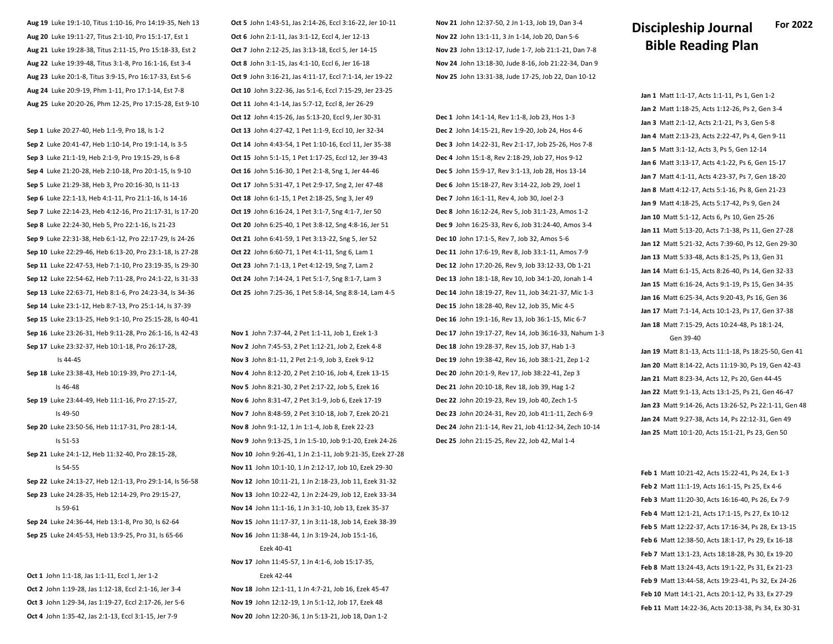**Aug 19** Luke 19:1-10, Titus 1:10-16, Pro 14:19-35, Neh 13 **Aug 20** Luke 19:11-27, Titus 2:1-10, Pro 15:1-17, Est 1 **Aug 21** Luke 19:28-38, Titus 2:11-15, Pro 15:18-33, Est 2 **Aug 22** Luke 19:39-48, Titus 3:1-8, Pro 16:1-16, Est 3-4 **Aug 23** Luke 20:1-8, Titus 3:9-15, Pro 16:17-33, Est 5-6 **Aug 24** Luke 20:9-19, Phm 1-11, Pro 17:1-14, Est 7-8 **Aug 25** Luke 20:20-26, Phm 12-25, Pro 17:15-28, Est 9-10

**Sep 1** Luke 20:27-40, Heb 1:1-9, Pro 18, Is 1-2 **Sep 2** Luke 20:41-47, Heb 1:10-14, Pro 19:1-14, Is 3-5 **Sep 3** Luke 21:1-19, Heb 2:1-9, Pro 19:15-29, Is 6-8 **Sep 4** Luke 21:20-28, Heb 2:10-18, Pro 20:1-15, Is 9-10 **Sep 5** Luke 21:29-38, Heb 3, Pro 20:16-30, Is 11-13 **Sep 6** Luke 22:1-13, Heb 4:1-11, Pro 21:1-16, Is 14-16 **Sep 7** Luke 22:14-23, Heb 4:12-16, Pro 21:17-31, Is 17-20 **Sep 8** Luke 22:24-30, Heb 5, Pro 22:1-16, Is 21-23 **Sep 9** Luke 22:31-38, Heb 6:1-12, Pro 22:17-29, Is 24-26 **Sep 10** Luke 22:29-46, Heb 6:13-20, Pro 23:1-18, Is 27-28 **Sep 11** Luke 22:47-53, Heb 7:1-10, Pro 23:19-35, Is 29-30 **Sep 12** Luke 22:54-62, Heb 7:11-28, Pro 24:1-22, Is 31-33 **Sep 13** Luke 22:63-71, Heb 8:1-6, Pro 24:23-34, Is 34-36 **Sep 14** Luke 23:1-12, Heb 8:7-13, Pro 25:1-14, Is 37-39 **Sep 15** Luke 23:13-25, Heb 9:1-10, Pro 25:15-28, Is 40-41 **Sep 16** Luke 23:26-31, Heb 9:11-28, Pro 26:1-16, Is 42-43 **Sep 17** Luke 23:32-37, Heb 10:1-18, Pro 26:17-28,

Is 44-45

- **Sep 18** Luke 23:38-43, Heb 10:19-39, Pro 27:1-14, Is 46-48
- **Sep 19** Luke 23:44-49, Heb 11:1-16, Pro 27:15-27, Is 49-50
- **Sep 20** Luke 23:50-56, Heb 11:17-31, Pro 28:1-14, Is 51-53

**Sep 21** Luke 24:1-12, Heb 11:32-40, Pro 28:15-28, Is 54-55

**Sep 22** Luke 24:13-27, Heb 12:1-13, Pro 29:1-14, Is 56-58 **Sep 23** Luke 24:28-35, Heb 12:14-29, Pro 29:15-27, Is 59-61

**Sep 24** Luke 24:36-44, Heb 13:1-8, Pro 30, Is 62-64 **Sep 25** Luke 24:45-53, Heb 13:9-25, Pro 31, Is 65-66

**Oct 1** John 1:1-18, Jas 1:1-11, Eccl 1, Jer 1-2 **Oct 2** John 1:19-28, Jas 1:12-18, Eccl 2:1-16, Jer 3-4 **Oct 3** John 1:29-34, Jas 1:19-27, Eccl 2:17-26, Jer 5-6 **Oct 4** John 1:35-42, Jas 2:1-13, Eccl 3:1-15, Jer 7-9

**Oct 5** John 1:43-51, Jas 2:14-26, Eccl 3:16-22, Jer 10-11 **Oct 6** John 2:1-11, Jas 3:1-12, Eccl 4, Jer 12-13 **Oct 7** John 2:12-25, Jas 3:13-18, Eccl 5, Jer 14-15 **Oct 8** John 3:1-15, Jas 4:1-10, Eccl 6, Jer 16-18 **Oct 9** John 3:16-21, Jas 4:11-17, Eccl 7:1-14, Jer 19-22 **Oct 10** John 3:22-36, Jas 5:1-6, Eccl 7:15-29, Jer 23-25 **Oct 11** John 4:1-14, Jas 5:7-12, Eccl 8, Jer 26-29 **Oct 12** John 4:15-26, Jas 5:13-20, Eccl 9, Jer 30-31 **Oct 13** John 4:27-42, 1 Pet 1:1-9, Eccl 10, Jer 32-34 **Oct 14** John 4:43-54, 1 Pet 1:10-16, Eccl 11, Jer 35-38 **Oct 15** John 5:1-15, 1 Pet 1:17-25, Eccl 12, Jer 39-43 **Oct 16** John 5:16-30, 1 Pet 2:1-8, Sng 1, Jer 44-46 **Oct 17** John 5:31-47, 1 Pet 2:9-17, Sng 2, Jer 47-48 **Oct 18** John 6:1-15, 1 Pet 2:18-25, Sng 3, Jer 49 **Oct 19** John 6:16-24, 1 Pet 3:1-7, Sng 4:1-7, Jer 50 **Oct 20** John 6:25-40, 1 Pet 3:8-12, Sng 4:8-16, Jer 51 **Oct 21** John 6:41-59, 1 Pet 3:13-22, Sng 5, Jer 52 **Oct 22** John 6:60-71, 1 Pet 4:1-11, Sng 6, Lam 1 **Oct 23** John 7:1-13, 1 Pet 4:12-19, Sng 7, Lam 2 **Oct 24** John 7:14-24, 1 Pet 5:1-7, Sng 8:1-7, Lam 3 **Oct 25** John 7:25-36, 1 Pet 5:8-14, Sng 8:8-14, Lam 4-5

**Nov 1** John 7:37-44, 2 Pet 1:1-11, Job 1, Ezek 1-3 **Nov 2** John 7:45-53, 2 Pet 1:12-21, Job 2, Ezek 4-8 **Nov 3** John 8:1-11, 2 Pet 2:1-9, Job 3, Ezek 9-12 **Nov 4** John 8:12-20, 2 Pet 2:10-16, Job 4, Ezek 13-15 **Nov 5** John 8:21-30, 2 Pet 2:17-22, Job 5, Ezek 16 **Nov 6** John 8:31-47, 2 Pet 3:1-9, Job 6, Ezek 17-19 **Nov 7** John 8:48-59, 2 Pet 3:10-18, Job 7, Ezek 20-21 **Nov 8** John 9:1-12, 1 Jn 1:1-4, Job 8, Ezek 22-23 **Nov 9** John 9:13-25, 1 Jn 1:5-10, Job 9:1-20, Ezek 24-26 **Nov 10** John 9:26-41, 1 Jn 2:1-11, Job 9:21-35, Ezek 27-28 **Nov 11** John 10:1-10, 1 Jn 2:12-17, Job 10, Ezek 29-30 **Nov 12** John 10:11-21, 1 Jn 2:18-23, Job 11, Ezek 31-32 **Nov 13** John 10:22-42, 1 Jn 2:24-29, Job 12, Ezek 33-34 **Nov 14** John 11:1-16, 1 Jn 3:1-10, Job 13, Ezek 35-37 **Nov 15** John 11:17-37, 1 Jn 3:11-18, Job 14, Ezek 38-39 **Nov 16** John 11:38-44, 1 Jn 3:19-24, Job 15:1-16, Ezek 40-41 **Nov 17** John 11:45-57, 1 Jn 4:1-6, Job 15:17-35, Ezek 42-44 **Nov 18** John 12:1-11, 1 Jn 4:7-21, Job 16, Ezek 45-47 **Nov 19** John 12:12-19, 1 Jn 5:1-12, Job 17, Ezek 48

**Nov 20** John 12:20-36, 1 Jn 5:13-21, Job 18, Dan 1-2

**Nov 21** John 12:37-50, 2 Jn 1-13, Job 19, Dan 3-4 **Nov 22** John 13:1-11, 3 Jn 1-14, Job 20, Dan 5-6 **Nov 23** John 13:12-17, Jude 1-7, Job 21:1-21, Dan 7-8 **Nov 24** John 13:18-30, Jude 8-16, Job 21:22-34, Dan 9 **Nov 25** John 13:31-38, Jude 17-25, Job 22, Dan 10-12

**Dec 1** John 14:1-14, Rev 1:1-8, Job 23, Hos 1-3 **Dec 2** John 14:15-21, Rev 1:9-20, Job 24, Hos 4-6 **Dec 3** John 14:22-31, Rev 2:1-17, Job 25-26, Hos 7-8 **Dec 4** John 15:1-8, Rev 2:18-29, Job 27, Hos 9-12 **Dec 5** John 15:9-17, Rev 3:1-13, Job 28, Hos 13-14 **Dec 6** John 15:18-27, Rev 3:14-22, Job 29, Joel 1 **Dec 7** John 16:1-11, Rev 4, Job 30, Joel 2-3 **Dec 8** John 16:12-24, Rev 5, Job 31:1-23, Amos 1-2 **Dec 9** John 16:25-33, Rev 6, Job 31:24-40, Amos 3-4 **Dec 10** John 17:1-5, Rev 7, Job 32, Amos 5-6 **Dec 11** John 17:6-19, Rev 8, Job 33:1-11, Amos 7-9 **Dec 12** John 17:20-26, Rev 9, Job 33:12-33, Ob 1-21 **Dec 13** John 18:1-18, Rev 10, Job 34:1-20, Jonah 1-4 **Dec 14** John 18:19-27, Rev 11, Job 34:21-37, Mic 1-3 **Dec 15** John 18:28-40, Rev 12, Job 35, Mic 4-5 **Dec 16** John 19:1-16, Rev 13, Job 36:1-15, Mic 6-7 **Dec 17** John 19:17-27, Rev 14, Job 36:16-33, Nahum 1-3 **Dec 18** John 19:28-37, Rev 15, Job 37, Hab 1-3 **Dec 19** John 19:38-42, Rev 16, Job 38:1-21, Zep 1-2 **Dec 20** John 20:1-9, Rev 17, Job 38:22-41, Zep 3 **Dec 21** John 20:10-18, Rev 18, Job 39, Hag 1-2 **Dec 22** John 20:19-23, Rev 19, Job 40, Zech 1-5 **Dec 23** John 20:24-31, Rev 20, Job 41:1-11, Zech 6-9 **Dec 24** John 21:1-14, Rev 21, Job 41:12-34, Zech 10-14 **Dec 25** John 21:15-25, Rev 22, Job 42, Mal 1-4

## **Discipleship Journal Bible Reading Plan For 2022**

**Jan 1** Matt 1:1-17, Acts 1:1-11, Ps 1, Gen 1-2 **Jan 2** Matt 1:18-25, Acts 1:12-26, Ps 2, Gen 3-4 **Jan 3** Matt 2:1-12, Acts 2:1-21, Ps 3, Gen 5-8 **Jan 4** Matt 2:13-23, Acts 2:22-47, Ps 4, Gen 9-11 **Jan 5** Matt 3:1-12, Acts 3, Ps 5, Gen 12-14 **Jan 6** Matt 3:13-17, Acts 4:1-22, Ps 6, Gen 15-17 **Jan 7** Matt 4:1-11, Acts 4:23-37, Ps 7, Gen 18-20 **Jan 8** Matt 4:12-17, Acts 5:1-16, Ps 8, Gen 21-23 **Jan 9** Matt 4:18-25, Acts 5:17-42, Ps 9, Gen 24 **Jan 10** Matt 5:1-12, Acts 6, Ps 10, Gen 25-26 **Jan 11** Matt 5:13-20, Acts 7:1-38, Ps 11, Gen 27-28 **Jan 12** Matt 5:21-32, Acts 7:39-60, Ps 12, Gen 29-30 **Jan 13** Matt 5:33-48, Acts 8:1-25, Ps 13, Gen 31 **Jan 14** Matt 6:1-15, Acts 8:26-40, Ps 14, Gen 32-33 **Jan 15** Matt 6:16-24, Acts 9:1-19, Ps 15, Gen 34-35 **Jan 16** Matt 6:25-34, Acts 9:20-43, Ps 16, Gen 36 **Jan 17** Matt 7:1-14, Acts 10:1-23, Ps 17, Gen 37-38 **Jan 18** Matt 7:15-29, Acts 10:24-48, Ps 18:1-24, Gen 39-40

**Jan 19** Matt 8:1-13, Acts 11:1-18, Ps 18:25-50, Gen 41 **Jan 20** Matt 8:14-22, Acts 11:19-30, Ps 19, Gen 42-43 **Jan 21** Matt 8:23-34, Acts 12, Ps 20, Gen 44-45 **Jan 22** Matt 9:1-13, Acts 13:1-25, Ps 21, Gen 46-47 **Jan 23** Matt 9:14-26, Acts 13:26-52, Ps 22:1-11, Gen 48 **Jan 24** Matt 9:27-38, Acts 14, Ps 22:12-31, Gen 49 **Jan 25** Matt 10:1-20, Acts 15:1-21, Ps 23, Gen 50

**Feb 1** Matt 10:21-42, Acts 15:22-41, Ps 24, Ex 1-3 **Feb 2** Matt 11:1-19, Acts 16:1-15, Ps 25, Ex 4-6 **Feb 3** Matt 11:20-30, Acts 16:16-40, Ps 26, Ex 7-9 **Feb 4** Matt 12:1-21, Acts 17:1-15, Ps 27, Ex 10-12 **Feb 5** Matt 12:22-37, Acts 17:16-34, Ps 28, Ex 13-15 **Feb 6** Matt 12:38-50, Acts 18:1-17, Ps 29, Ex 16-18 **Feb 7** Matt 13:1-23, Acts 18:18-28, Ps 30, Ex 19-20 **Feb 8** Matt 13:24-43, Acts 19:1-22, Ps 31, Ex 21-23 **Feb 9** Matt 13:44-58, Acts 19:23-41, Ps 32, Ex 24-26 **Feb 10** Matt 14:1-21, Acts 20:1-12, Ps 33, Ex 27-29 **Feb 11** Matt 14:22-36, Acts 20:13-38, Ps 34, Ex 30-31